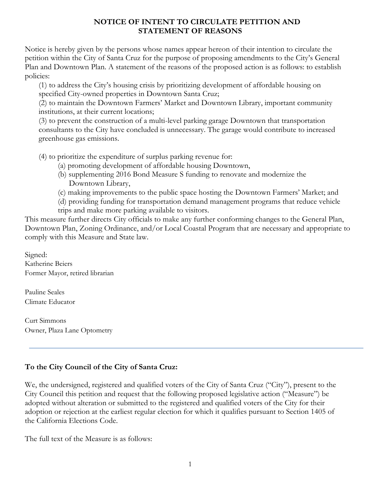### **NOTICE OF INTENT TO CIRCULATE PETITION AND STATEMENT OF REASONS**

Notice is hereby given by the persons whose names appear hereon of their intention to circulate the petition within the City of Santa Cruz for the purpose of proposing amendments to the City's General Plan and Downtown Plan. A statement of the reasons of the proposed action is as follows: to establish policies:

(1) to address the City's housing crisis by prioritizing development of affordable housing on specified City-owned properties in Downtown Santa Cruz;

(2) to maintain the Downtown Farmers' Market and Downtown Library, important community institutions, at their current locations;

(3) to prevent the construction of a multi-level parking garage Downtown that transportation consultants to the City have concluded is unnecessary. The garage would contribute to increased greenhouse gas emissions.

(4) to prioritize the expenditure of surplus parking revenue for:

- (a) promoting development of affordable housing Downtown,
- (b) supplementing 2016 Bond Measure S funding to renovate and modernize the Downtown Library,
- (c) making improvements to the public space hosting the Downtown Farmers' Market; and

(d) providing funding for transportation demand management programs that reduce vehicle trips and make more parking available to visitors.

This measure further directs City officials to make any further conforming changes to the General Plan, Downtown Plan, Zoning Ordinance, and/or Local Coastal Program that are necessary and appropriate to comply with this Measure and State law.

Signed: Katherine Beiers Former Mayor, retired librarian

Pauline Seales Climate Educator

Curt Simmons Owner, Plaza Lane Optometry

# **To the City Council of the City of Santa Cruz:**

We, the undersigned, registered and qualified voters of the City of Santa Cruz ("City"), present to the City Council this petition and request that the following proposed legislative action ("Measure") be adopted without alteration or submitted to the registered and qualified voters of the City for their adoption or rejection at the earliest regular election for which it qualifies pursuant to Section 1405 of the California Elections Code.

The full text of the Measure is as follows: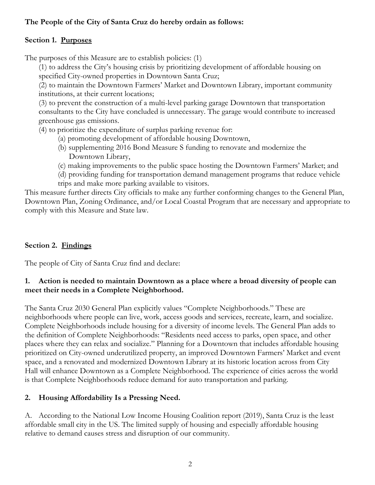## **The People of the City of Santa Cruz do hereby ordain as follows:**

## **Section 1. Purposes**

The purposes of this Measure are to establish policies: (1)

(1) to address the City's housing crisis by prioritizing development of affordable housing on specified City-owned properties in Downtown Santa Cruz;

(2) to maintain the Downtown Farmers' Market and Downtown Library, important community institutions, at their current locations;

(3) to prevent the construction of a multi-level parking garage Downtown that transportation consultants to the City have concluded is unnecessary. The garage would contribute to increased greenhouse gas emissions.

(4) to prioritize the expenditure of surplus parking revenue for:

- (a) promoting development of affordable housing Downtown,
- (b) supplementing 2016 Bond Measure S funding to renovate and modernize the Downtown Library,
- (c) making improvements to the public space hosting the Downtown Farmers' Market; and
- (d) providing funding for transportation demand management programs that reduce vehicle trips and make more parking available to visitors.

This measure further directs City officials to make any further conforming changes to the General Plan, Downtown Plan, Zoning Ordinance, and/or Local Coastal Program that are necessary and appropriate to comply with this Measure and State law.

## **Section 2. Findings**

The people of City of Santa Cruz find and declare:

### **1. Action is needed to maintain Downtown as a place where a broad diversity of people can meet their needs in a Complete Neighborhood.**

The Santa Cruz 2030 General Plan explicitly values "Complete Neighborhoods." These are neighborhoods where people can live, work, access goods and services, recreate, learn, and socialize. Complete Neighborhoods include housing for a diversity of income levels. The General Plan adds to the definition of Complete Neighborhoods: "Residents need access to parks, open space, and other places where they can relax and socialize." Planning for a Downtown that includes affordable housing prioritized on City-owned underutilized property, an improved Downtown Farmers' Market and event space, and a renovated and modernized Downtown Library at its historic location across from City Hall will enhance Downtown as a Complete Neighborhood. The experience of cities across the world is that Complete Neighborhoods reduce demand for auto transportation and parking.

## **2. Housing Affordability Is a Pressing Need.**

A. According to the National Low Income Housing Coalition report (2019), Santa Cruz is the least affordable small city in the US. The limited supply of housing and especially affordable housing relative to demand causes stress and disruption of our community.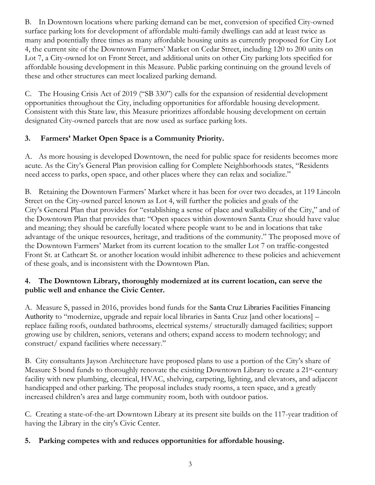B. In Downtown locations where parking demand can be met, conversion of specified City-owned surface parking lots for development of affordable multi-family dwellings can add at least twice as many and potentially three times as many affordable housing units as currently proposed for City Lot 4, the current site of the Downtown Farmers' Market on Cedar Street, including 120 to 200 units on Lot 7, a City-owned lot on Front Street, and additional units on other City parking lots specified for affordable housing development in this Measure. Public parking continuing on the ground levels of these and other structures can meet localized parking demand.

C. The Housing Crisis Act of 2019 ("SB 330") calls for the expansion of residential development opportunities throughout the City, including opportunities for affordable housing development. Consistent with this State law, this Measure prioritizes affordable housing development on certain designated City-owned parcels that are now used as surface parking lots.

# **3. Farmers' Market Open Space is a Community Priority.**

A. As more housing is developed Downtown, the need for public space for residents becomes more acute. As the City's General Plan provision calling for Complete Neighborhoods states, "Residents need access to parks, open space, and other places where they can relax and socialize."

B. Retaining the Downtown Farmers' Market where it has been for over two decades, at 119 Lincoln Street on the City-owned parcel known as Lot 4, will further the policies and goals of the City's General Plan that provides for "establishing a sense of place and walkability of the City," and of the Downtown Plan that provides that: "Open spaces within downtown Santa Cruz should have value and meaning; they should be carefully located where people want to be and in locations that take advantage of the unique resources, heritage, and traditions of the community." The proposed move of the Downtown Farmers' Market from its current location to the smaller Lot 7 on traffic-congested Front St. at Cathcart St. or another location would inhibit adherence to these policies and achievement of these goals, and is inconsistent with the Downtown Plan.

## **4. The Downtown Library, thoroughly modernized at its current location, can serve the public well and enhance the Civic Center.**

A. Measure S, passed in 2016, provides bond funds for the Santa Cruz Libraries Facilities Financing Authority to "modernize, upgrade and repair local libraries in Santa Cruz [and other locations] – replace failing roofs, outdated bathrooms, electrical systems/ structurally damaged facilities; support growing use by children, seniors, veterans and others; expand access to modern technology; and construct/ expand facilities where necessary."

B. City consultants Jayson Architecture have proposed plans to use a portion of the City's share of Measure S bond funds to thoroughly renovate the existing Downtown Library to create a 21<sup>st</sup>-century facility with new plumbing, electrical, HVAC, shelving, carpeting, lighting, and elevators, and adjacent handicapped and other parking. The proposal includes study rooms, a teen space, and a greatly increased children's area and large community room, both with outdoor patios.

C. Creating a state-of-the-art Downtown Library at its present site builds on the 117-year tradition of having the Library in the city's Civic Center.

## **5. Parking competes with and reduces opportunities for affordable housing.**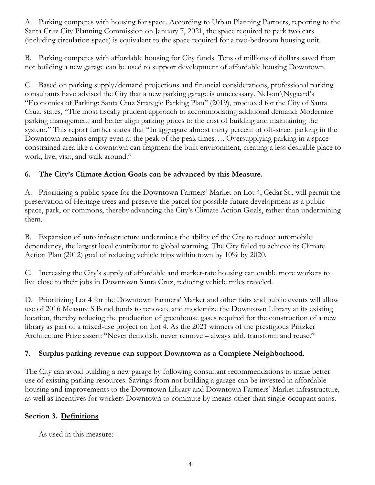A. Parking competes with housing for space. According to Urban Planning Partners, reporting to the Santa Cruz City Planning Commission on January 7, 2021, the space required to park two cars (including circulation space) is equivalent to the space required for a two-bedroom housing unit.

B. Parking competes with affordable housing for City funds. Tens of millions of dollars saved from not building a new garage can be used to support development of affordable housing Downtown.

C. Based on parking supply/demand projections and financial considerations, professional parking consultants have advised the City that a new parking garage is unnecessary. Nelson\Nygaard's "Economics of Parking: Santa Cruz Strategic Parking Plan" (2019), produced for the City of Santa Cruz, states, "The most fiscally prudent approach to accommodating additional demand: Modernize parking management and better align parking prices to the cost of building and maintaining the system." This report further states that "In aggregate almost thirty percent of off-street parking in the Downtown remains empty even at the peak of the peak times…. Oversupplying parking in a spaceconstrained area like a downtown can fragment the built environment, creating a less desirable place to work, live, visit, and walk around."

## **6. The City's Climate Action Goals can be advanced by this Measure.**

A. Prioritizing a public space for the Downtown Farmers' Market on Lot 4, Cedar St., will permit the preservation of Heritage trees and preserve the parcel for possible future development as a public space, park, or commons, thereby advancing the City's Climate Action Goals, rather than undermining them.

B. Expansion of auto infrastructure undermines the ability of the City to reduce automobile dependency, the largest local contributor to global warming. The City failed to achieve its Climate Action Plan (2012) goal of reducing vehicle trips within town by 10% by 2020.

C. Increasing the City's supply of affordable and market-rate housing can enable more workers to live close to their jobs in Downtown Santa Cruz, reducing vehicle miles traveled.

D. Prioritizing Lot 4 for the Downtown Farmers' Market and other fairs and public events will allow use of 2016 Measure S Bond funds to renovate and modernize the Downtown Library at its existing location, thereby reducing the production of greenhouse gases required for the construction of a new library as part of a mixed-use project on Lot 4. As the 2021 winners of the prestigious Pritzker Architecture Prize assert: "Never demolish, never remove – always add, transform and reuse."

# **7. Surplus parking revenue can support Downtown as a Complete Neighborhood.**

The City can avoid building a new garage by following consultant recommendations to make better use of existing parking resources. Savings from not building a garage can be invested in affordable housing and improvements to the Downtown Library and Downtown Farmers' Market infrastructure, as well as incentives for workers Downtown to commute by means other than single-occupant autos.

## **Section 3. Definitions**

As used in this measure: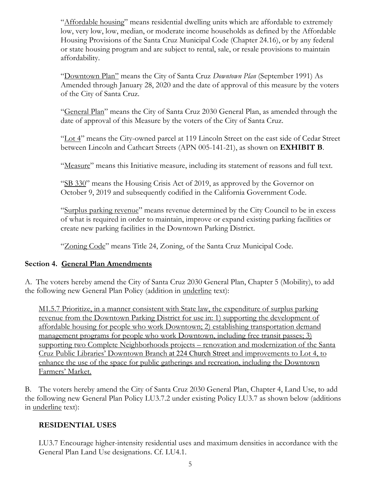"Affordable housing" means residential dwelling units which are affordable to extremely low, very low, low, median, or moderate income households as defined by the Affordable Housing Provisions of the Santa Cruz Municipal Code (Chapter 24.16), or by any federal or state housing program and are subject to rental, sale, or resale provisions to maintain affordability.

"Downtown Plan" means the City of Santa Cruz *Downtown Plan* (September 1991) As Amended through January 28, 2020 and the date of approval of this measure by the voters of the City of Santa Cruz.

"General Plan" means the City of Santa Cruz 2030 General Plan, as amended through the date of approval of this Measure by the voters of the City of Santa Cruz.

"Lot 4" means the City-owned parcel at 119 Lincoln Street on the east side of Cedar Street between Lincoln and Cathcart Streets (APN 005-141-21), as shown on **EXHIBIT B**.

"Measure" means this Initiative measure, including its statement of reasons and full text.

"SB 330" means the Housing Crisis Act of 2019, as approved by the Governor on October 9, 2019 and subsequently codified in the California Government Code.

"Surplus parking revenue" means revenue determined by the City Council to be in excess of what is required in order to maintain, improve or expand existing parking facilities or create new parking facilities in the Downtown Parking District.

"Zoning Code" means Title 24, Zoning, of the Santa Cruz Municipal Code.

### **Section 4. General Plan Amendments**

A. The voters hereby amend the City of Santa Cruz 2030 General Plan, Chapter 5 (Mobility), to add the following new General Plan Policy (addition in underline text):

M1.5.7 Prioritize, in a manner consistent with State law, the expenditure of surplus parking revenue from the Downtown Parking District for use in: 1) supporting the development of affordable housing for people who work Downtown; 2) establishing transportation demand management programs for people who work Downtown, including free transit passes; 3) supporting two Complete Neighborhoods projects – renovation and modernization of the Santa Cruz Public Libraries' Downtown Branch at 224 Church Street and improvements to Lot 4, to enhance the use of the space for public gatherings and recreation, including the Downtown Farmers' Market.

B. The voters hereby amend the City of Santa Cruz 2030 General Plan, Chapter 4, Land Use, to add the following new General Plan Policy LU3.7.2 under existing Policy LU3.7 as shown below (additions in underline text):

### **RESIDENTIAL USES**

LU3.7 Encourage higher-intensity residential uses and maximum densities in accordance with the General Plan Land Use designations. Cf. LU4.1.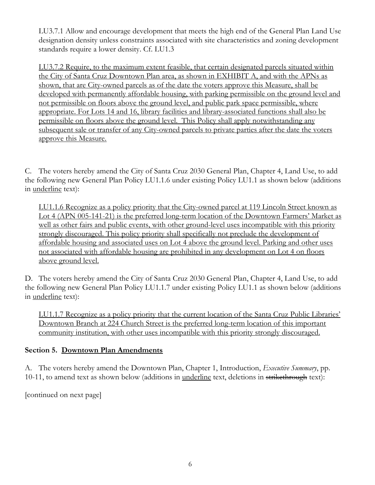LU3.7.1 Allow and encourage development that meets the high end of the General Plan Land Use designation density unless constraints associated with site characteristics and zoning development standards require a lower density. Cf. LU1.3

LU3.7.2 Require, to the maximum extent feasible, that certain designated parcels situated within the City of Santa Cruz Downtown Plan area, as shown in EXHIBIT A, and with the APNs as shown, that are City-owned parcels as of the date the voters approve this Measure, shall be developed with permanently affordable housing, with parking permissible on the ground level and not permissible on floors above the ground level, and public park space permissible, where appropriate. For Lots 14 and 16, library facilities and library-associated functions shall also be permissible on floors above the ground level. This Policy shall apply notwithstanding any subsequent sale or transfer of any City-owned parcels to private parties after the date the voters approve this Measure.

C. The voters hereby amend the City of Santa Cruz 2030 General Plan, Chapter 4, Land Use, to add the following new General Plan Policy LU1.1.6 under existing Policy LU1.1 as shown below (additions in underline text):

LU1.1.6 Recognize as a policy priority that the City-owned parcel at 119 Lincoln Street known as Lot 4 (APN 005-141-21) is the preferred long-term location of the Downtown Farmers' Market as well as other fairs and public events, with other ground-level uses incompatible with this priority strongly discouraged. This policy priority shall specifically not preclude the development of affordable housing and associated uses on Lot 4 above the ground level. Parking and other uses not associated with affordable housing are prohibited in any development on Lot 4 on floors above ground level.

D. The voters hereby amend the City of Santa Cruz 2030 General Plan, Chapter 4, Land Use, to add the following new General Plan Policy LU1.1.7 under existing Policy LU1.1 as shown below (additions in underline text):

LU1.1.7 Recognize as a policy priority that the current location of the Santa Cruz Public Libraries' Downtown Branch at 224 Church Street is the preferred long-term location of this important community institution, with other uses incompatible with this priority strongly discouraged.

## **Section 5. Downtown Plan Amendments**

A. The voters hereby amend the Downtown Plan, Chapter 1, Introduction, *Executive Summary*, pp. 10-11, to amend text as shown below (additions in <u>underline</u> text, deletions in strikethrough text):

[continued on next page]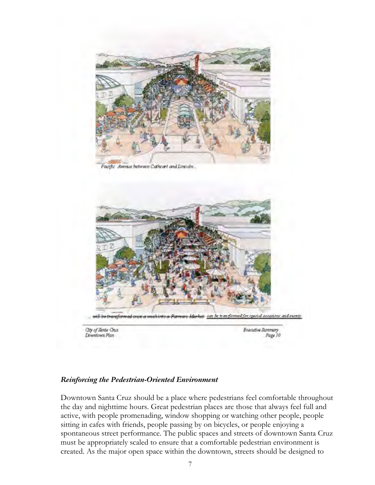

Pacific Avenue between Cathcart and Lincoln.



**Downtown Plan** 

Executive Summary Page 10

#### *Reinforcing the Pedestrian-Oriented Environment*

Downtown Santa Cruz should be a place where pedestrians feel comfortable throughout the day and nighttime hours. Great pedestrian places are those that always feel full and active, with people promenading, window shopping or watching other people, people sitting in cafes with friends, people passing by on bicycles, or people enjoying a spontaneous street performance. The public spaces and streets of downtown Santa Cruz must be appropriately scaled to ensure that a comfortable pedestrian environment is created. As the major open space within the downtown, streets should be designed to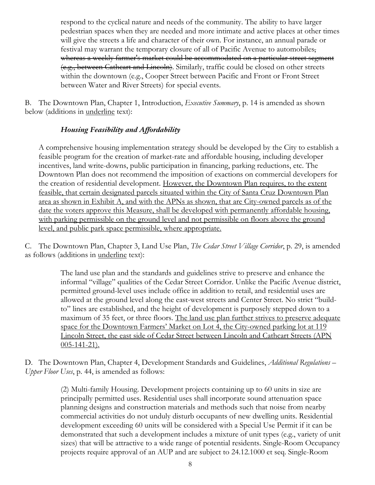respond to the cyclical nature and needs of the community. The ability to have larger pedestrian spaces when they are needed and more intimate and active places at other times will give the streets a life and character of their own. For instance, an annual parade or festival may warrant the temporary closure of all of Pacific Avenue to automobiles, whereas a weekly farmer's market could be accommodated on a particular street segment (e.g., between Cathcart and Lincoln). Similarly, traffic could be closed on other streets within the downtown (e.g., Cooper Street between Pacific and Front or Front Street between Water and River Streets) for special events.

B. The Downtown Plan, Chapter 1, Introduction, *Executive Summary*, p. 14 is amended as shown below (additions in <u>underline</u> text):

## *Housing Feasibility and Affordability*

A comprehensive housing implementation strategy should be developed by the City to establish a feasible program for the creation of market-rate and affordable housing, including developer incentives, land write-downs, public participation in financing, parking reductions, etc. The Downtown Plan does not recommend the imposition of exactions on commercial developers for the creation of residential development. However, the Downtown Plan requires, to the extent feasible, that certain designated parcels situated within the City of Santa Cruz Downtown Plan area as shown in Exhibit A, and with the APNs as shown, that are City-owned parcels as of the date the voters approve this Measure, shall be developed with permanently affordable housing, with parking permissible on the ground level and not permissible on floors above the ground level, and public park space permissible, where appropriate.

C. The Downtown Plan, Chapter 3, Land Use Plan, *The Cedar Street Village Corridor*, p. 29, is amended as follows (additions in <u>underline</u> text):

> The land use plan and the standards and guidelines strive to preserve and enhance the informal "village" qualities of the Cedar Street Corridor. Unlike the Pacific Avenue district, permitted ground-level uses include office in addition to retail, and residential uses are allowed at the ground level along the east-west streets and Center Street. No strict "buildto" lines are established, and the height of development is purposely stepped down to a maximum of 35 feet, or three floors. The land use plan further strives to preserve adequate space for the Downtown Farmers' Market on Lot 4, the City-owned parking lot at 119 Lincoln Street, the east side of Cedar Street between Lincoln and Cathcart Streets (APN 005-141-21).

D. The Downtown Plan, Chapter 4, Development Standards and Guidelines, *Additional Regulations – Upper Floor Uses*, p. 44, is amended as follows:

> (2) Multi-family Housing. Development projects containing up to 60 units in size are principally permitted uses. Residential uses shall incorporate sound attenuation space planning designs and construction materials and methods such that noise from nearby commercial activities do not unduly disturb occupants of new dwelling units. Residential development exceeding 60 units will be considered with a Special Use Permit if it can be demonstrated that such a development includes a mixture of unit types (e.g., variety of unit sizes) that will be attractive to a wide range of potential residents. Single-Room Occupancy projects require approval of an AUP and are subject to 24.12.1000 et seq. Single-Room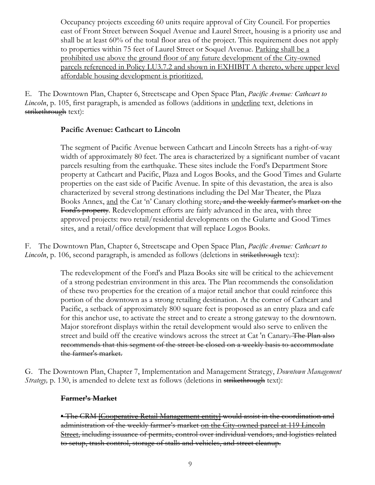Occupancy projects exceeding 60 units require approval of City Council. For properties east of Front Street between Soquel Avenue and Laurel Street, housing is a priority use and shall be at least 60% of the total floor area of the project. This requirement does not apply to properties within 75 feet of Laurel Street or Soquel Avenue. Parking shall be a prohibited use above the ground floor of any future development of the City-owned parcels referenced in Policy LU3.7.2 and shown in EXHIBIT A thereto, where upper level affordable housing development is prioritized.

E. The Downtown Plan, Chapter 6, Streetscape and Open Space Plan, *Pacific Avenue: Cathcart to Lincoln*, p. 105, first paragraph, is amended as follows (additions in underline text, deletions in strikethrough text):

### **Pacific Avenue: Cathcart to Lincoln**

The segment of Pacific Avenue between Cathcart and Lincoln Streets has a right-of-way width of approximately 80 feet. The area is characterized by a significant number of vacant parcels resulting from the earthquake. These sites include the Ford's Department Store property at Cathcart and Pacific, Plaza and Logos Books, and the Good Times and Gularte properties on the east side of Pacific Avenue. In spite of this devastation, the area is also characterized by several strong destinations including the Del Mar Theater, the Plaza Books Annex, and the Cat 'n' Canary clothing store, and the weekly farmer's market on the Ford's property. Redevelopment efforts are fairly advanced in the area, with three approved projects: two retail/residential developments on the Gularte and Good Times sites, and a retail/office development that will replace Logos Books.

F. The Downtown Plan, Chapter 6, Streetscape and Open Space Plan, *Pacific Avenue: Cathcart to Lincoln*, p. 106, second paragraph, is amended as follows (deletions in strikethrough text):

> The redevelopment of the Ford's and Plaza Books site will be critical to the achievement of a strong pedestrian environment in this area. The Plan recommends the consolidation of these two properties for the creation of a major retail anchor that could reinforce this portion of the downtown as a strong retailing destination. At the corner of Cathcart and Pacific, a setback of approximately 800 square feet is proposed as an entry plaza and cafe for this anchor use, to activate the street and to create a strong gateway to the downtown. Major storefront displays within the retail development would also serve to enliven the street and build off the creative windows across the street at Cat 'n Canary. The Plan also recommends that this segment of the street be closed on a weekly basis to accommodate the farmer's market.

G. The Downtown Plan, Chapter 7, Implementation and Management Strategy, *Downtown Management Strategy*, p. 130, is amended to delete text as follows (deletions in strikethrough text):

### **Farmer's Market**

• The CRM [Cooperative Retail Management entity] would assist in the coordination and administration of the weekly farmer's market on the City-owned parcel at 119 Lincoln Street, including issuance of permits, control over individual vendors, and logistics related to setup, trash control, storage of stalls and vehicles, and street cleanup.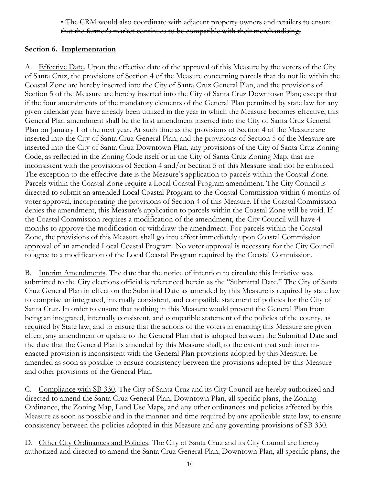### • The CRM would also coordinate with adjacent property owners and retailers to ensure that the farmer's market continues to be compatible with their merchandising.

### **Section 6. Implementation**

A. Effective Date. Upon the effective date of the approval of this Measure by the voters of the City of Santa Cruz, the provisions of Section 4 of the Measure concerning parcels that do not lie within the Coastal Zone are hereby inserted into the City of Santa Cruz General Plan, and the provisions of Section 5 of the Measure are hereby inserted into the City of Santa Cruz Downtown Plan; except that if the four amendments of the mandatory elements of the General Plan permitted by state law for any given calendar year have already been utilized in the year in which the Measure becomes effective, this General Plan amendment shall be the first amendment inserted into the City of Santa Cruz General Plan on January 1 of the next year. At such time as the provisions of Section 4 of the Measure are inserted into the City of Santa Cruz General Plan, and the provisions of Section 5 of the Measure are inserted into the City of Santa Cruz Downtown Plan, any provisions of the City of Santa Cruz Zoning Code, as reflected in the Zoning Code itself or in the City of Santa Cruz Zoning Map, that are inconsistent with the provisions of Section 4 and/or Section 5 of this Measure shall not be enforced. The exception to the effective date is the Measure's application to parcels within the Coastal Zone. Parcels within the Coastal Zone require a Local Coastal Program amendment. The City Council is directed to submit an amended Local Coastal Program to the Coastal Commission within 6 months of voter approval, incorporating the provisions of Section 4 of this Measure. If the Coastal Commission denies the amendment, this Measure's application to parcels within the Coastal Zone will be void. If the Coastal Commission requires a modification of the amendment, the City Council will have 4 months to approve the modification or withdraw the amendment. For parcels within the Coastal Zone, the provisions of this Measure shall go into effect immediately upon Coastal Commission approval of an amended Local Coastal Program. No voter approval is necessary for the City Council to agree to a modification of the Local Coastal Program required by the Coastal Commission.

B. Interim Amendments. The date that the notice of intention to circulate this Initiative was submitted to the City elections official is referenced herein as the "Submittal Date." The City of Santa Cruz General Plan in effect on the Submittal Date as amended by this Measure is required by state law to comprise an integrated, internally consistent, and compatible statement of policies for the City of Santa Cruz. In order to ensure that nothing in this Measure would prevent the General Plan from being an integrated, internally consistent, and compatible statement of the policies of the county, as required by State law, and to ensure that the actions of the voters in enacting this Measure are given effect, any amendment or update to the General Plan that is adopted between the Submittal Date and the date that the General Plan is amended by this Measure shall, to the extent that such interimenacted provision is inconsistent with the General Plan provisions adopted by this Measure, be amended as soon as possible to ensure consistency between the provisions adopted by this Measure and other provisions of the General Plan.

C. Compliance with SB 330. The City of Santa Cruz and its City Council are hereby authorized and directed to amend the Santa Cruz General Plan, Downtown Plan, all specific plans, the Zoning Ordinance, the Zoning Map, Land Use Maps, and any other ordinances and policies affected by this Measure as soon as possible and in the manner and time required by any applicable state law, to ensure consistency between the policies adopted in this Measure and any governing provisions of SB 330.

D. Other City Ordinances and Policies. The City of Santa Cruz and its City Council are hereby authorized and directed to amend the Santa Cruz General Plan, Downtown Plan, all specific plans, the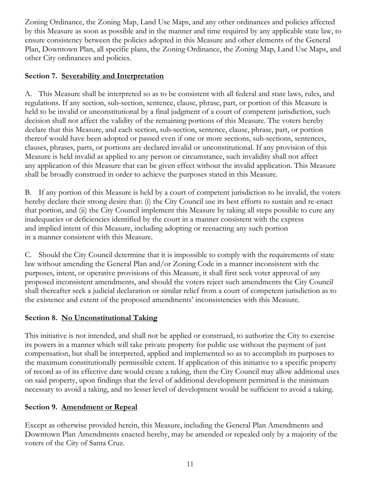Zoning Ordinance, the Zoning Map, Land Use Maps, and any other ordinances and policies affected by this Measure as soon as possible and in the manner and time required by any applicable state law, to ensure consistency between the policies adopted in this Measure and other elements of the General Plan, Downtown Plan, all specific plans, the Zoning Ordinance, the Zoning Map, Land Use Maps, and other City ordinances and policies.

### **Section 7. Severability and Interpretation**

A. This Measure shall be interpreted so as to be consistent with all federal and state laws, rules, and regulations. If any section, sub-section, sentence, clause, phrase, part, or portion of this Measure is held to be invalid or unconstitutional by a final judgment of a court of competent jurisdiction, such decision shall not affect the validity of the remaining portions of this Measure. The voters hereby declare that this Measure, and each section, sub-section, sentence, clause, phrase, part, or portion thereof would have been adopted or passed even if one or more sections, sub-sections, sentences, clauses, phrases, parts, or portions are declared invalid or unconstitutional. If any provision of this Measure is held invalid as applied to any person or circumstance, such invalidity shall not affect any application of this Measure that can be given effect without the invalid application. This Measure shall be broadly construed in order to achieve the purposes stated in this Measure.

B. If any portion of this Measure is held by a court of competent jurisdiction to be invalid, the voters hereby declare their strong desire that: (i) the City Council use its best efforts to sustain and re-enact that portion, and (ii) the City Council implement this Measure by taking all steps possible to cure any inadequacies or deficiencies identified by the court in a manner consistent with the express and implied intent of this Measure, including adopting or reenacting any such portion in a manner consistent with this Measure.

C. Should the City Council determine that it is impossible to comply with the requirements of state law without amending the General Plan and/or Zoning Code in a manner inconsistent with the purposes, intent, or operative provisions of this Measure, it shall first seek voter approval of any proposed inconsistent amendments, and should the voters reject such amendments the City Council shall thereafter seek a judicial declaration or similar relief from a court of competent jurisdiction as to the existence and extent of the proposed amendments' inconsistencies with this Measure.

## **Section 8. No Unconstitutional Taking**

This initiative is not intended, and shall not be applied or construed, to authorize the City to exercise its powers in a manner which will take private property for public use without the payment of just compensation, but shall be interpreted, applied and implemented so as to accomplish its purposes to the maximum constitutionally permissible extent. If application of this initiative to a specific property of record as of its effective date would create a taking, then the City Council may allow additional uses on said property, upon findings that the level of additional development permitted is the minimum necessary to avoid a taking, and no lesser level of development would be sufficient to avoid a taking.

## **Section 9. Amendment or Repeal**

Except as otherwise provided herein, this Measure, including the General Plan Amendments and Downtown Plan Amendments enacted hereby, may be amended or repealed only by a majority of the voters of the City of Santa Cruz.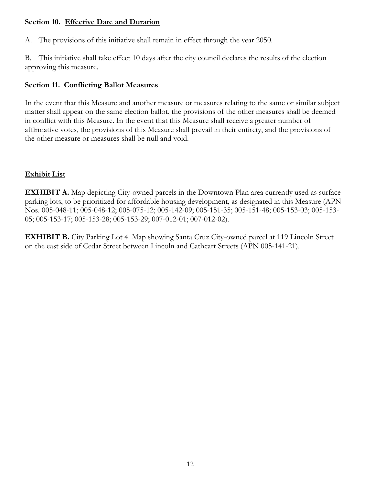### **Section 10. Effective Date and Duration**

A. The provisions of this initiative shall remain in effect through the year 2050.

B. This initiative shall take effect 10 days after the city council declares the results of the election approving this measure.

## **Section 11. Conflicting Ballot Measures**

In the event that this Measure and another measure or measures relating to the same or similar subject matter shall appear on the same election ballot, the provisions of the other measures shall be deemed in conflict with this Measure. In the event that this Measure shall receive a greater number of affirmative votes, the provisions of this Measure shall prevail in their entirety, and the provisions of the other measure or measures shall be null and void.

# **Exhibit List**

**EXHIBIT A.** Map depicting City-owned parcels in the Downtown Plan area currently used as surface parking lots, to be prioritized for affordable housing development, as designated in this Measure (APN Nos. 005-048-11; 005-048-12; 005-075-12; 005-142-09; 005-151-35; 005-151-48; 005-153-03; 005-153- 05; 005-153-17; 005-153-28; 005-153-29; 007-012-01; 007-012-02).

**EXHIBIT B.** City Parking Lot 4. Map showing Santa Cruz City-owned parcel at 119 Lincoln Street on the east side of Cedar Street between Lincoln and Cathcart Streets (APN 005-141-21).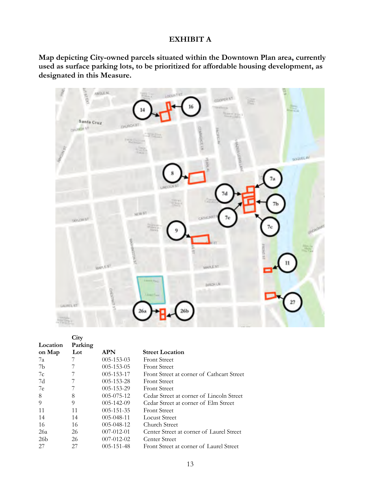#### **EXHIBIT A**

**Map depicting City-owned parcels situated within the Downtown Plan area, currently used as surface parking lots, to be prioritized for affordable housing development, as designated in this Measure.**



| Location        | Parking |                  |                                           |
|-----------------|---------|------------------|-------------------------------------------|
| on Map          | Lot     | <b>APN</b>       | <b>Street Location</b>                    |
| 7a              |         | $005 - 153 - 03$ | <b>Front Street</b>                       |
| 7b              |         | $005 - 153 - 05$ | <b>Front Street</b>                       |
| 7c              |         | 005-153-17       | Front Street at corner of Cathcart Street |
| 7d              |         | $005 - 153 - 28$ | <b>Front Street</b>                       |
| 7e              |         | $005 - 153 - 29$ | <b>Front Street</b>                       |
| 8               | 8       | $005 - 075 - 12$ | Cedar Street at corner of Lincoln Street  |
| $\overline{Q}$  | 9       | 005-142-09       | Cedar Street at corner of Elm Street      |
| 11              | 11      | $005 - 151 - 35$ | <b>Front Street</b>                       |
| 14              | 14      | $005 - 048 - 11$ | Locust Street                             |
| 16              | 16      | $005 - 048 - 12$ | Church Street                             |
| 26a             | 26      | 007-012-01       | Center Street at corner of Laurel Street  |
| 26 <sub>b</sub> | 26      | $007 - 012 - 02$ | Center Street                             |
| 27              | 27      | 005-151-48       | Front Street at corner of Laurel Street   |